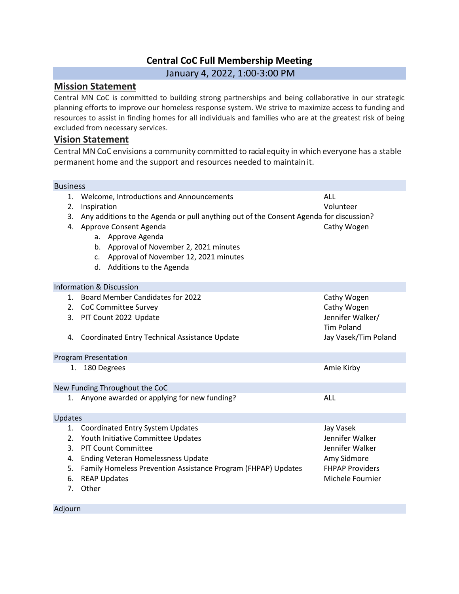### **Central CoC Full Membership Meeting**

#### January 4, 2022, 1:00-3:00 PM

#### **Mission Statement**

Central MN CoC is committed to building strong partnerships and being collaborative in our strategic planning efforts to improve our homeless response system. We strive to maximize access to funding and resources to assist in finding homes for all individuals and families who are at the greatest risk of being excluded from necessary services.

#### **Vision Statement**

Central MN CoC envisions a community committed to racialequity in which everyone has a stable permanent home and the support and resources needed to maintain it.

#### Business

|         | 1. Welcome, Introductions and Announcements                                            | ALL                    |
|---------|----------------------------------------------------------------------------------------|------------------------|
| 2.      | Inspiration                                                                            | Volunteer              |
| 3.      | Any additions to the Agenda or pull anything out of the Consent Agenda for discussion? |                        |
|         | 4. Approve Consent Agenda                                                              | Cathy Wogen            |
|         | a. Approve Agenda                                                                      |                        |
|         | b. Approval of November 2, 2021 minutes                                                |                        |
|         | c. Approval of November 12, 2021 minutes                                               |                        |
|         | d. Additions to the Agenda                                                             |                        |
|         |                                                                                        |                        |
|         | <b>Information &amp; Discussion</b>                                                    |                        |
|         | 1. Board Member Candidates for 2022                                                    | Cathy Wogen            |
|         | 2. CoC Committee Survey                                                                | Cathy Wogen            |
|         | 3. PIT Count 2022 Update                                                               | Jennifer Walker/       |
|         |                                                                                        | <b>Tim Poland</b>      |
| 4.      | Coordinated Entry Technical Assistance Update                                          | Jay Vasek/Tim Poland   |
|         |                                                                                        |                        |
|         | <b>Program Presentation</b>                                                            |                        |
|         | 1. 180 Degrees                                                                         | Amie Kirby             |
|         |                                                                                        |                        |
|         | New Funding Throughout the CoC                                                         |                        |
|         | 1. Anyone awarded or applying for new funding?                                         | ALL                    |
|         |                                                                                        |                        |
| Updates |                                                                                        |                        |
|         | 1. Coordinated Entry System Updates                                                    | Jay Vasek              |
|         | 2. Youth Initiative Committee Updates                                                  | Jennifer Walker        |
|         | 3. PIT Count Committee                                                                 | Jennifer Walker        |
|         | 4. Ending Veteran Homelessness Update                                                  | Amy Sidmore            |
|         | 5. Family Homeless Prevention Assistance Program (FHPAP) Updates                       | <b>FHPAP Providers</b> |
|         | 6. REAP Updates                                                                        | Michele Fournier       |
|         | 7. Other                                                                               |                        |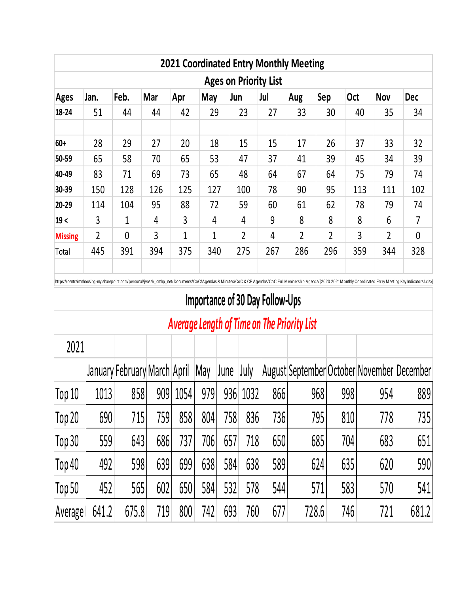| <b>Ages on Priority List</b> |                |             |     |     |              |                |     |                |                |            |                |            |  |  |
|------------------------------|----------------|-------------|-----|-----|--------------|----------------|-----|----------------|----------------|------------|----------------|------------|--|--|
| <b>Ages</b>                  | Jan.           | Feb.        | Mar | Apr | May          | Jun            | Jul | Aug            | Sep            | <b>Oct</b> | <b>Nov</b>     | <b>Dec</b> |  |  |
| 18-24                        | 51             | 44          | 44  | 42  | 29           | 23             | 27  | 33             | 30             | 40         | 35             | 34         |  |  |
|                              |                |             |     |     |              |                |     |                |                |            |                |            |  |  |
| $60+$                        | 28             | 29          | 27  | 20  | 18           | 15             | 15  | 17             | 26             | 37         | 33             | 32         |  |  |
| 50-59                        | 65             | 58          | 70  | 65  | 53           | 47             | 37  | 41             | 39             | 45         | 34             | 39         |  |  |
| 40-49                        | 83             | 71          | 69  | 73  | 65           | 48             | 64  | 67             | 64             | 75         | 79             | 74         |  |  |
| 30-39                        | 150            | 128         | 126 | 125 | 127          | 100            | 78  | 90             | 95             | 113        | 111            | 102        |  |  |
| 20-29                        | 114            | 104         | 95  | 88  | 72           | 59             | 60  | 61             | 62             | 78         | 79             | 74         |  |  |
| 19<                          | 3              | 1           | 4   | 3   | 4            | 4              | 9   | 8              | 8              | 8          | 6              | 7          |  |  |
| <b>Missing</b>               | $\overline{2}$ | $\mathbf 0$ | 3   | 1   | $\mathbf{1}$ | $\overline{2}$ | 4   | $\overline{2}$ | $\overline{2}$ | 3          | $\overline{2}$ | 0          |  |  |
| Total                        | 445            | 391         | 394 | 375 | 340          | 275            | 267 | 286            | 296            | 359        | 344            | 328        |  |  |

## **Importance of 30 Day Follow-Ups**

# *Average Length of Time on The Priority List*

| 2021    |       |                              |     |      |     |      |      |     |                                            |     |     |       |
|---------|-------|------------------------------|-----|------|-----|------|------|-----|--------------------------------------------|-----|-----|-------|
|         |       | January February March April |     |      | May | June | July |     | August September October November December |     |     |       |
| Top 10  | 1013  | 858                          | 909 | 1054 | 979 | 936  | 1032 | 866 | 968                                        | 998 | 954 | 889   |
| Top 20  | 690   | 715                          | 759 | 858  | 804 | 758  | 836  | 736 | 795                                        | 810 | 778 | 735   |
| Top 30  | 559   | 643                          | 686 | 737  | 706 | 657  | 7181 | 650 | 685                                        | 704 | 683 | 651   |
| Top 40  | 492   | 598                          | 639 | 699  | 638 | 584  | 638  | 589 | 624                                        | 635 | 620 | 590   |
| Top 50  | 452   | 565                          | 602 | 650  | 584 | 532  | 578  | 544 | 571                                        | 583 | 570 | 541   |
| Average | 641.2 | 675.8                        | 719 | 800  | 742 | 693  | 760  | 677 | 728.6                                      | 746 | 721 | 681.2 |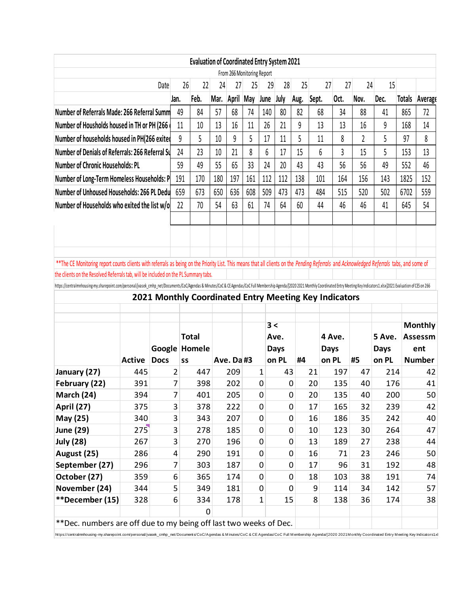|                                                                                                                                                                                                                                                                                                                                                                               |               |                                                       |                | <b>Evaluation of Coordinated Entry System 2021</b> |     |                            |     |                           |             |      |        |             |     |          |             |               |                                              |
|-------------------------------------------------------------------------------------------------------------------------------------------------------------------------------------------------------------------------------------------------------------------------------------------------------------------------------------------------------------------------------|---------------|-------------------------------------------------------|----------------|----------------------------------------------------|-----|----------------------------|-----|---------------------------|-------------|------|--------|-------------|-----|----------|-------------|---------------|----------------------------------------------|
|                                                                                                                                                                                                                                                                                                                                                                               |               |                                                       |                |                                                    |     | From 266 Monitoring Report |     |                           |             |      |        |             |     |          |             |               |                                              |
|                                                                                                                                                                                                                                                                                                                                                                               |               | Date                                                  | 26             | 22                                                 | 24  | 27                         | 25  | 29                        | 28          | 25   |        | 27          | 27  | 24       | 15          |               |                                              |
|                                                                                                                                                                                                                                                                                                                                                                               |               |                                                       | Jan.           | Feb.                                               |     | Mar. April May             |     | June                      | July        | Aug. | Sept.  | Oct.        |     | Nov.     | Dec.        | <b>Totals</b> | <b>Averago</b>                               |
| Number of Referrals Made: 266 Referral Summ                                                                                                                                                                                                                                                                                                                                   |               |                                                       | 49             | 84                                                 | 57  | 68                         | 74  | 140                       | 80          | 82   | 68     |             | 34  | 88       | 41          | 865           | 72                                           |
| Number of Housholds housed in TH or PH (266)                                                                                                                                                                                                                                                                                                                                  |               |                                                       | 11             | 10                                                 | 13  | 16                         | 11  | 26                        | 21          | 9    | 13     |             | 13  | 16       | 9           | 168           | 14                                           |
| Number of households housed in PH(266 exited                                                                                                                                                                                                                                                                                                                                  |               |                                                       | 9              | 5                                                  | 10  | 9                          | 5   | 17                        | 11          | 5    | 11     |             | 8   | 2        | 5           | 97            | 8                                            |
| Number of Denials of Referrals: 266 Referral Su                                                                                                                                                                                                                                                                                                                               |               |                                                       | 24             | 23                                                 | 10  | 21                         | 8   | 6                         | 17          | 15   | 6      |             | 3   | 15       | 5           | 153           | 13                                           |
| <b>Number of Chronic Households: PL</b>                                                                                                                                                                                                                                                                                                                                       |               |                                                       | 59             | 49                                                 | 55  | 65                         | 33  | 24                        | 20          | 43   | 43     |             | 56  | 56       | 49          | 552           | 46                                           |
| <b>Number of Long-Term Homeless Households: P</b>                                                                                                                                                                                                                                                                                                                             |               |                                                       | 191            | 170                                                | 180 | 197                        | 161 | 112                       | 112         | 138  | 101    |             | 164 | 156      | 143         | 1825          | 152                                          |
| Number of Unhoused Households: 266 PL Dedu                                                                                                                                                                                                                                                                                                                                    |               |                                                       | 659            | 673                                                | 650 | 636                        | 608 | 509                       | 473         | 473  | 484    |             | 515 | 520      | 502         | 6702          | 559                                          |
| Number of Households who exited the list w/o                                                                                                                                                                                                                                                                                                                                  |               |                                                       | 22             | 70                                                 | 54  | 63                         | 61  | 74                        | 64          | 60   | 44     |             | 46  | 46       | 41          | 645           | 54                                           |
|                                                                                                                                                                                                                                                                                                                                                                               |               |                                                       |                |                                                    |     |                            |     |                           |             |      |        |             |     |          |             |               |                                              |
|                                                                                                                                                                                                                                                                                                                                                                               |               |                                                       |                |                                                    |     |                            |     |                           |             |      |        |             |     |          |             |               |                                              |
|                                                                                                                                                                                                                                                                                                                                                                               |               |                                                       |                |                                                    |     |                            |     |                           |             |      |        |             |     |          |             |               |                                              |
|                                                                                                                                                                                                                                                                                                                                                                               |               |                                                       |                |                                                    |     |                            |     |                           |             |      |        |             |     |          |             |               |                                              |
|                                                                                                                                                                                                                                                                                                                                                                               |               |                                                       |                |                                                    |     |                            |     |                           |             |      |        |             |     |          |             |               |                                              |
| **The CE Monitoring report counts clients with referrals as being on the Priority List. This means that all clients on the Pending Referrals and Acknowledged Referrals tabs, and some of                                                                                                                                                                                     |               |                                                       |                |                                                    |     |                            |     |                           |             |      |        |             |     |          |             |               |                                              |
|                                                                                                                                                                                                                                                                                                                                                                               |               |                                                       |                |                                                    |     |                            |     |                           |             |      |        |             |     |          |             |               |                                              |
|                                                                                                                                                                                                                                                                                                                                                                               |               |                                                       |                |                                                    |     |                            |     |                           |             |      |        |             |     |          |             |               |                                              |
|                                                                                                                                                                                                                                                                                                                                                                               |               | 2021 Monthly Coordinated Entry Meeting Key Indicators |                |                                                    |     |                            |     |                           |             |      |        |             |     |          |             |               |                                              |
|                                                                                                                                                                                                                                                                                                                                                                               |               |                                                       |                |                                                    |     |                            |     |                           |             |      |        |             |     |          |             |               |                                              |
|                                                                                                                                                                                                                                                                                                                                                                               |               |                                                       |                |                                                    |     |                            |     | 3 <                       |             |      |        |             |     |          |             |               | <b>Monthly</b>                               |
|                                                                                                                                                                                                                                                                                                                                                                               |               |                                                       |                | <b>Total</b>                                       |     |                            |     |                           | Ave.        |      |        | 4 Ave.      |     |          | 5 Ave.      |               | Assessm                                      |
|                                                                                                                                                                                                                                                                                                                                                                               |               | Google                                                |                | Homele                                             |     |                            |     |                           | <b>Days</b> |      |        | <b>Days</b> |     |          | <b>Days</b> |               | ent                                          |
|                                                                                                                                                                                                                                                                                                                                                                               | <b>Active</b> | <b>Docs</b>                                           | SS             |                                                    |     | Ave. Da #3                 |     |                           | on PL       | #4   |        | on PL       |     | #5       | on PL       |               |                                              |
| January (27)                                                                                                                                                                                                                                                                                                                                                                  | 445           |                                                       | $\overline{2}$ | 447                                                |     | 209                        |     | 1                         | 43          |      | 21     | 197         |     | 47       | 214         |               |                                              |
| February (22)                                                                                                                                                                                                                                                                                                                                                                 | 391           |                                                       | 7              | 398                                                |     | 202                        |     | 0                         |             | 0    | 20     | 135         |     | 40       | 176         |               | <b>Number</b><br>42<br>41                    |
| March (24)                                                                                                                                                                                                                                                                                                                                                                    | 394           |                                                       | 7              | 401                                                |     | 205                        |     | 0                         |             | 0    | 20     | 135         |     | 40       | 200         |               |                                              |
| April (27)                                                                                                                                                                                                                                                                                                                                                                    | 375           |                                                       | 3              | 378                                                |     | 222                        |     | $\pmb{0}$                 |             | 0    | 17     | 165         |     | 32       | 239         |               | 50<br>42                                     |
| May (25)                                                                                                                                                                                                                                                                                                                                                                      | 340           |                                                       | 3              | 343                                                |     | 207                        |     | $\pmb{0}$                 |             | 0    | 16     | 186         |     | 35       | 242         |               |                                              |
|                                                                                                                                                                                                                                                                                                                                                                               | 275           |                                                       | 3              | 278                                                |     | 185                        |     | 0                         |             | 0    | 10     | 123         |     | 30       | 264         |               |                                              |
| <b>July (28)</b>                                                                                                                                                                                                                                                                                                                                                              | 267           |                                                       | 3              | 270                                                |     | 196                        |     | $\pmb{0}$                 |             | 0    | 13     | 189         |     | 27       | 238         |               |                                              |
| August (25)                                                                                                                                                                                                                                                                                                                                                                   | 286           |                                                       | 4              | 290                                                |     | 191                        |     | $\pmb{0}$                 |             | 0    | 16     |             | 71  | 23       | 246         |               |                                              |
| September (27)                                                                                                                                                                                                                                                                                                                                                                | 296           |                                                       | 7              | 303                                                |     | 187                        |     | $\pmb{0}$                 |             | 0    | 17     |             | 96  | 31       | 192         |               |                                              |
| October (27)                                                                                                                                                                                                                                                                                                                                                                  | 359           |                                                       | 6              | 365                                                |     | 174                        |     | $\pmb{0}$                 |             | 0    | 18     | 103         |     | 38       | 191         |               |                                              |
| the clients on the Resolved Referrals tab, will be included on the PL Summary tabs.<br>https://centralmnhousing-my.sharepoint.com/personal/jvasek_cmhp_net/Documents/CoC/Agendas & Minutes/CoC& CE Agendas/CoC Full Membership Agenda/2020 2021 Monthly Coordinated Entry Meeting Key Indicators1.xlsx]2021 Evaluatio<br><b>June (29)</b><br>November (24)<br>**December (15) | 344<br>328    |                                                       | 5<br>6         | 349<br>334                                         |     | 181<br>178                 |     | $\pmb{0}$<br>$\mathbf{1}$ | 15          | 0    | 9<br>8 | 114<br>138  |     | 34<br>36 | 142<br>174  |               | 40<br>47<br>44<br>50<br>48<br>74<br>57<br>38 |

https://centralmnhousing-my.sharepoint.com/personal/jvasek\_cmhp\_net/Documents/CoC/Agendas & Minutes/CoC & CE Agendas/CoC Full Membership Agenda/[2020 2021 Monthly Coordinated Entry Meeting Key Indicators1.xl